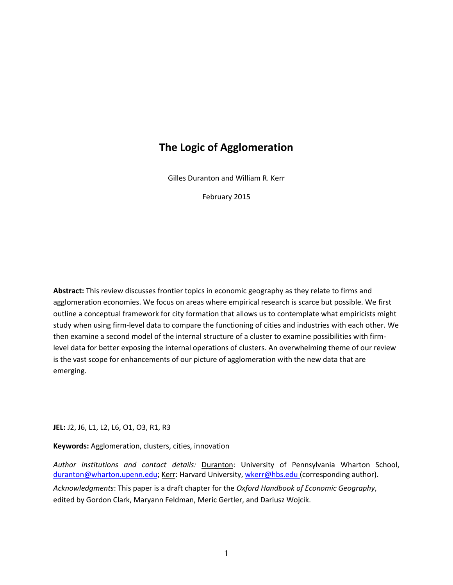## **The Logic of Agglomeration**

Gilles Duranton and William R. Kerr

February 2015

**Abstract:** This review discusses frontier topics in economic geography as they relate to firms and agglomeration economies. We focus on areas where empirical research is scarce but possible. We first outline a conceptual framework for city formation that allows us to contemplate what empiricists might study when using firm-level data to compare the functioning of cities and industries with each other. We then examine a second model of the internal structure of a cluster to examine possibilities with firmlevel data for better exposing the internal operations of clusters. An overwhelming theme of our review is the vast scope for enhancements of our picture of agglomeration with the new data that are emerging.

**JEL:** J2, J6, L1, L2, L6, O1, O3, R1, R3

**Keywords:** Agglomeration, clusters, cities, innovation

*Author institutions and contact details:* Duranton: University of Pennsylvania Wharton School, [duranton@wharton.upenn.edu;](mailto:duranton@wharton.upenn.edu) Kerr: Harvard University, [wkerr@hbs.edu](mailto:wkerr@hbs.edu) (corresponding author). *Acknowledgments*: This paper is a draft chapter for the *Oxford Handbook of Economic Geography*, edited by Gordon Clark, Maryann Feldman, Meric Gertler, and Dariusz Wojcik.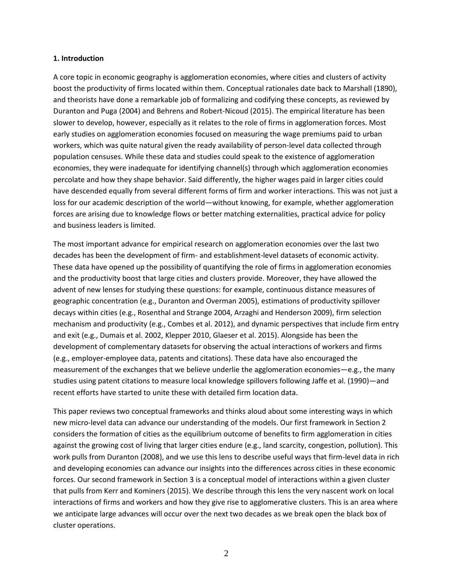### **1. Introduction**

A core topic in economic geography is agglomeration economies, where cities and clusters of activity boost the productivity of firms located within them. Conceptual rationales date back to Marshall (1890), and theorists have done a remarkable job of formalizing and codifying these concepts, as reviewed by Duranton and Puga (2004) and Behrens and Robert-Nicoud (2015). The empirical literature has been slower to develop, however, especially as it relates to the role of firms in agglomeration forces. Most early studies on agglomeration economies focused on measuring the wage premiums paid to urban workers, which was quite natural given the ready availability of person-level data collected through population censuses. While these data and studies could speak to the existence of agglomeration economies, they were inadequate for identifying channel(s) through which agglomeration economies percolate and how they shape behavior. Said differently, the higher wages paid in larger cities could have descended equally from several different forms of firm and worker interactions. This was not just a loss for our academic description of the world—without knowing, for example, whether agglomeration forces are arising due to knowledge flows or better matching externalities, practical advice for policy and business leaders is limited.

The most important advance for empirical research on agglomeration economies over the last two decades has been the development of firm- and establishment-level datasets of economic activity. These data have opened up the possibility of quantifying the role of firms in agglomeration economies and the productivity boost that large cities and clusters provide. Moreover, they have allowed the advent of new lenses for studying these questions: for example, continuous distance measures of geographic concentration (e.g., Duranton and Overman 2005), estimations of productivity spillover decays within cities (e.g., Rosenthal and Strange 2004, Arzaghi and Henderson 2009), firm selection mechanism and productivity (e.g., Combes et al. 2012), and dynamic perspectives that include firm entry and exit (e.g., Dumais et al. 2002, Klepper 2010, Glaeser et al. 2015). Alongside has been the development of complementary datasets for observing the actual interactions of workers and firms (e.g., employer-employee data, patents and citations). These data have also encouraged the measurement of the exchanges that we believe underlie the agglomeration economies—e.g., the many studies using patent citations to measure local knowledge spillovers following Jaffe et al. (1990)—and recent efforts have started to unite these with detailed firm location data.

This paper reviews two conceptual frameworks and thinks aloud about some interesting ways in which new micro-level data can advance our understanding of the models. Our first framework in Section 2 considers the formation of cities as the equilibrium outcome of benefits to firm agglomeration in cities against the growing cost of living that larger cities endure (e.g., land scarcity, congestion, pollution). This work pulls from Duranton (2008), and we use this lens to describe useful ways that firm-level data in rich and developing economies can advance our insights into the differences across cities in these economic forces. Our second framework in Section 3 is a conceptual model of interactions within a given cluster that pulls from Kerr and Kominers (2015). We describe through this lens the very nascent work on local interactions of firms and workers and how they give rise to agglomerative clusters. This is an area where we anticipate large advances will occur over the next two decades as we break open the black box of cluster operations.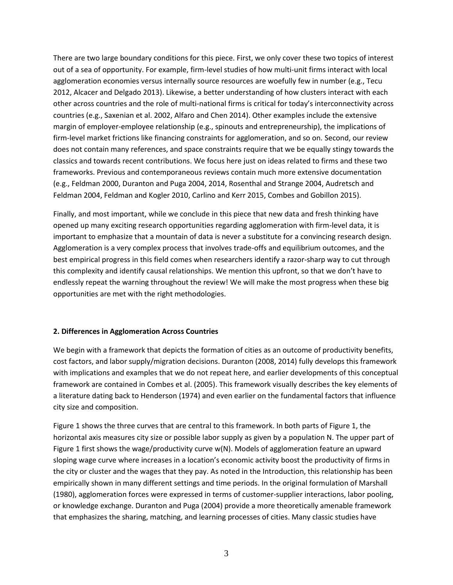There are two large boundary conditions for this piece. First, we only cover these two topics of interest out of a sea of opportunity. For example, firm-level studies of how multi-unit firms interact with local agglomeration economies versus internally source resources are woefully few in number (e.g., Tecu 2012, Alcacer and Delgado 2013). Likewise, a better understanding of how clusters interact with each other across countries and the role of multi-national firms is critical for today's interconnectivity across countries (e.g., Saxenian et al. 2002, Alfaro and Chen 2014). Other examples include the extensive margin of employer-employee relationship (e.g., spinouts and entrepreneurship), the implications of firm-level market frictions like financing constraints for agglomeration, and so on. Second, our review does not contain many references, and space constraints require that we be equally stingy towards the classics and towards recent contributions. We focus here just on ideas related to firms and these two frameworks. Previous and contemporaneous reviews contain much more extensive documentation (e.g., Feldman 2000, Duranton and Puga 2004, 2014, Rosenthal and Strange 2004, Audretsch and Feldman 2004, Feldman and Kogler 2010, Carlino and Kerr 2015, Combes and Gobillon 2015).

Finally, and most important, while we conclude in this piece that new data and fresh thinking have opened up many exciting research opportunities regarding agglomeration with firm-level data, it is important to emphasize that a mountain of data is never a substitute for a convincing research design. Agglomeration is a very complex process that involves trade-offs and equilibrium outcomes, and the best empirical progress in this field comes when researchers identify a razor-sharp way to cut through this complexity and identify causal relationships. We mention this upfront, so that we don't have to endlessly repeat the warning throughout the review! We will make the most progress when these big opportunities are met with the right methodologies.

### **2. Differences in Agglomeration Across Countries**

We begin with a framework that depicts the formation of cities as an outcome of productivity benefits, cost factors, and labor supply/migration decisions. Duranton (2008, 2014) fully develops this framework with implications and examples that we do not repeat here, and earlier developments of this conceptual framework are contained in Combes et al. (2005). This framework visually describes the key elements of a literature dating back to Henderson (1974) and even earlier on the fundamental factors that influence city size and composition.

Figure 1 shows the three curves that are central to this framework. In both parts of Figure 1, the horizontal axis measures city size or possible labor supply as given by a population N. The upper part of Figure 1 first shows the wage/productivity curve w(N). Models of agglomeration feature an upward sloping wage curve where increases in a location's economic activity boost the productivity of firms in the city or cluster and the wages that they pay. As noted in the Introduction, this relationship has been empirically shown in many different settings and time periods. In the original formulation of Marshall (1980), agglomeration forces were expressed in terms of customer-supplier interactions, labor pooling, or knowledge exchange. Duranton and Puga (2004) provide a more theoretically amenable framework that emphasizes the sharing, matching, and learning processes of cities. Many classic studies have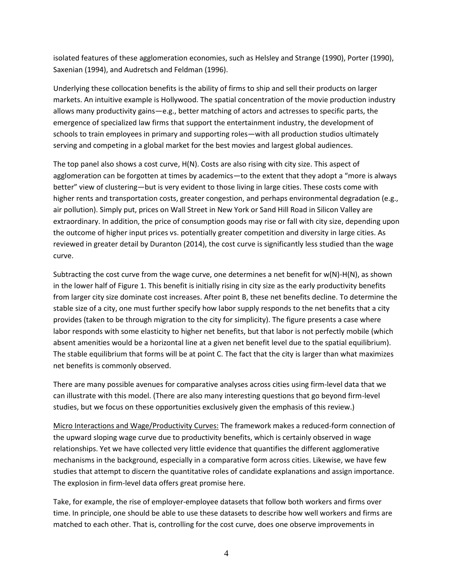isolated features of these agglomeration economies, such as Helsley and Strange (1990), Porter (1990), Saxenian (1994), and Audretsch and Feldman (1996).

Underlying these collocation benefits is the ability of firms to ship and sell their products on larger markets. An intuitive example is Hollywood. The spatial concentration of the movie production industry allows many productivity gains—e.g., better matching of actors and actresses to specific parts, the emergence of specialized law firms that support the entertainment industry, the development of schools to train employees in primary and supporting roles—with all production studios ultimately serving and competing in a global market for the best movies and largest global audiences.

The top panel also shows a cost curve, H(N). Costs are also rising with city size. This aspect of agglomeration can be forgotten at times by academics—to the extent that they adopt a "more is always better" view of clustering—but is very evident to those living in large cities. These costs come with higher rents and transportation costs, greater congestion, and perhaps environmental degradation (e.g., air pollution). Simply put, prices on Wall Street in New York or Sand Hill Road in Silicon Valley are extraordinary. In addition, the price of consumption goods may rise or fall with city size, depending upon the outcome of higher input prices vs. potentially greater competition and diversity in large cities. As reviewed in greater detail by Duranton (2014), the cost curve is significantly less studied than the wage curve.

Subtracting the cost curve from the wage curve, one determines a net benefit for  $w(N)$ -H(N), as shown in the lower half of Figure 1. This benefit is initially rising in city size as the early productivity benefits from larger city size dominate cost increases. After point B, these net benefits decline. To determine the stable size of a city, one must further specify how labor supply responds to the net benefits that a city provides (taken to be through migration to the city for simplicity). The figure presents a case where labor responds with some elasticity to higher net benefits, but that labor is not perfectly mobile (which absent amenities would be a horizontal line at a given net benefit level due to the spatial equilibrium). The stable equilibrium that forms will be at point C. The fact that the city is larger than what maximizes net benefits is commonly observed.

There are many possible avenues for comparative analyses across cities using firm-level data that we can illustrate with this model. (There are also many interesting questions that go beyond firm-level studies, but we focus on these opportunities exclusively given the emphasis of this review.)

Micro Interactions and Wage/Productivity Curves: The framework makes a reduced-form connection of the upward sloping wage curve due to productivity benefits, which is certainly observed in wage relationships. Yet we have collected very little evidence that quantifies the different agglomerative mechanisms in the background, especially in a comparative form across cities. Likewise, we have few studies that attempt to discern the quantitative roles of candidate explanations and assign importance. The explosion in firm-level data offers great promise here.

Take, for example, the rise of employer-employee datasets that follow both workers and firms over time. In principle, one should be able to use these datasets to describe how well workers and firms are matched to each other. That is, controlling for the cost curve, does one observe improvements in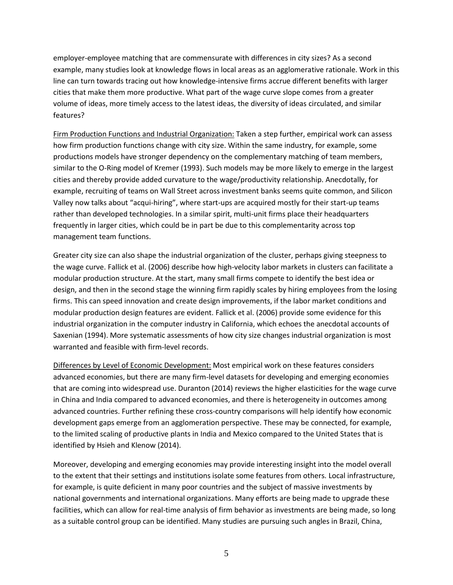employer-employee matching that are commensurate with differences in city sizes? As a second example, many studies look at knowledge flows in local areas as an agglomerative rationale. Work in this line can turn towards tracing out how knowledge-intensive firms accrue different benefits with larger cities that make them more productive. What part of the wage curve slope comes from a greater volume of ideas, more timely access to the latest ideas, the diversity of ideas circulated, and similar features?

Firm Production Functions and Industrial Organization: Taken a step further, empirical work can assess how firm production functions change with city size. Within the same industry, for example, some productions models have stronger dependency on the complementary matching of team members, similar to the O-Ring model of Kremer (1993). Such models may be more likely to emerge in the largest cities and thereby provide added curvature to the wage/productivity relationship. Anecdotally, for example, recruiting of teams on Wall Street across investment banks seems quite common, and Silicon Valley now talks about "acqui-hiring", where start-ups are acquired mostly for their start-up teams rather than developed technologies. In a similar spirit, multi-unit firms place their headquarters frequently in larger cities, which could be in part be due to this complementarity across top management team functions.

Greater city size can also shape the industrial organization of the cluster, perhaps giving steepness to the wage curve. Fallick et al. (2006) describe how high-velocity labor markets in clusters can facilitate a modular production structure. At the start, many small firms compete to identify the best idea or design, and then in the second stage the winning firm rapidly scales by hiring employees from the losing firms. This can speed innovation and create design improvements, if the labor market conditions and modular production design features are evident. Fallick et al. (2006) provide some evidence for this industrial organization in the computer industry in California, which echoes the anecdotal accounts of Saxenian (1994). More systematic assessments of how city size changes industrial organization is most warranted and feasible with firm-level records.

Differences by Level of Economic Development: Most empirical work on these features considers advanced economies, but there are many firm-level datasets for developing and emerging economies that are coming into widespread use. Duranton (2014) reviews the higher elasticities for the wage curve in China and India compared to advanced economies, and there is heterogeneity in outcomes among advanced countries. Further refining these cross-country comparisons will help identify how economic development gaps emerge from an agglomeration perspective. These may be connected, for example, to the limited scaling of productive plants in India and Mexico compared to the United States that is identified by Hsieh and Klenow (2014).

Moreover, developing and emerging economies may provide interesting insight into the model overall to the extent that their settings and institutions isolate some features from others. Local infrastructure, for example, is quite deficient in many poor countries and the subject of massive investments by national governments and international organizations. Many efforts are being made to upgrade these facilities, which can allow for real-time analysis of firm behavior as investments are being made, so long as a suitable control group can be identified. Many studies are pursuing such angles in Brazil, China,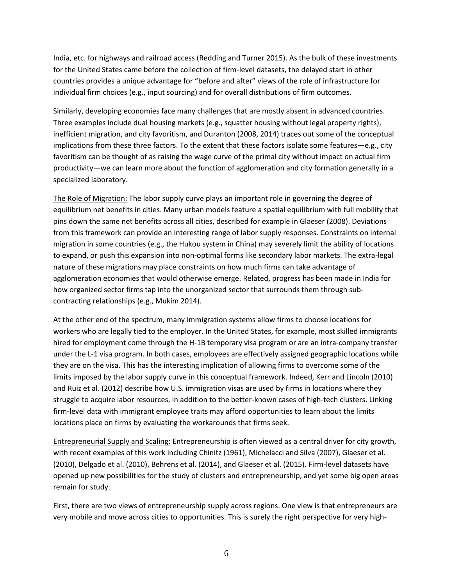India, etc. for highways and railroad access (Redding and Turner 2015). As the bulk of these investments for the United States came before the collection of firm-level datasets, the delayed start in other countries provides a unique advantage for "before and after" views of the role of infrastructure for individual firm choices (e.g., input sourcing) and for overall distributions of firm outcomes.

Similarly, developing economies face many challenges that are mostly absent in advanced countries. Three examples include dual housing markets (e.g., squatter housing without legal property rights), inefficient migration, and city favoritism, and Duranton (2008, 2014) traces out some of the conceptual implications from these three factors. To the extent that these factors isolate some features—e.g., city favoritism can be thought of as raising the wage curve of the primal city without impact on actual firm productivity—we can learn more about the function of agglomeration and city formation generally in a specialized laboratory.

The Role of Migration: The labor supply curve plays an important role in governing the degree of equilibrium net benefits in cities. Many urban models feature a spatial equilibrium with full mobility that pins down the same net benefits across all cities, described for example in Glaeser (2008). Deviations from this framework can provide an interesting range of labor supply responses. Constraints on internal migration in some countries (e.g., the Hukou system in China) may severely limit the ability of locations to expand, or push this expansion into non-optimal forms like secondary labor markets. The extra-legal nature of these migrations may place constraints on how much firms can take advantage of agglomeration economies that would otherwise emerge. Related, progress has been made in India for how organized sector firms tap into the unorganized sector that surrounds them through subcontracting relationships (e.g., Mukim 2014).

At the other end of the spectrum, many immigration systems allow firms to choose locations for workers who are legally tied to the employer. In the United States, for example, most skilled immigrants hired for employment come through the H-1B temporary visa program or are an intra-company transfer under the L-1 visa program. In both cases, employees are effectively assigned geographic locations while they are on the visa. This has the interesting implication of allowing firms to overcome some of the limits imposed by the labor supply curve in this conceptual framework. Indeed, Kerr and Lincoln (2010) and Ruiz et al. (2012) describe how U.S. immigration visas are used by firms in locations where they struggle to acquire labor resources, in addition to the better-known cases of high-tech clusters. Linking firm-level data with immigrant employee traits may afford opportunities to learn about the limits locations place on firms by evaluating the workarounds that firms seek.

Entrepreneurial Supply and Scaling: Entrepreneurship is often viewed as a central driver for city growth, with recent examples of this work including Chinitz (1961), Michelacci and Silva (2007), Glaeser et al. (2010), Delgado et al. (2010), Behrens et al. (2014), and Glaeser et al. (2015). Firm-level datasets have opened up new possibilities for the study of clusters and entrepreneurship, and yet some big open areas remain for study.

First, there are two views of entrepreneurship supply across regions. One view is that entrepreneurs are very mobile and move across cities to opportunities. This is surely the right perspective for very high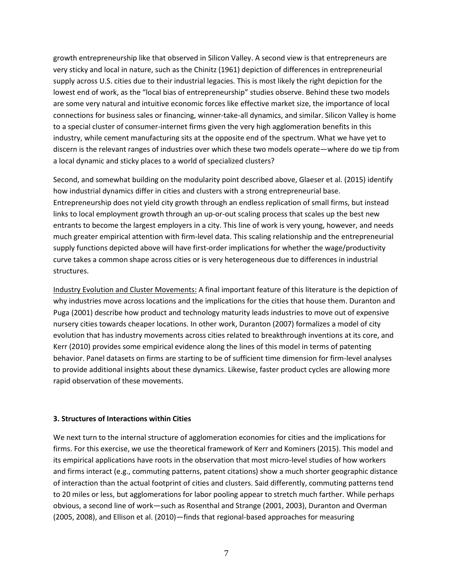growth entrepreneurship like that observed in Silicon Valley. A second view is that entrepreneurs are very sticky and local in nature, such as the Chinitz (1961) depiction of differences in entrepreneurial supply across U.S. cities due to their industrial legacies. This is most likely the right depiction for the lowest end of work, as the "local bias of entrepreneurship" studies observe. Behind these two models are some very natural and intuitive economic forces like effective market size, the importance of local connections for business sales or financing, winner-take-all dynamics, and similar. Silicon Valley is home to a special cluster of consumer-internet firms given the very high agglomeration benefits in this industry, while cement manufacturing sits at the opposite end of the spectrum. What we have yet to discern is the relevant ranges of industries over which these two models operate—where do we tip from a local dynamic and sticky places to a world of specialized clusters?

Second, and somewhat building on the modularity point described above, Glaeser et al. (2015) identify how industrial dynamics differ in cities and clusters with a strong entrepreneurial base. Entrepreneurship does not yield city growth through an endless replication of small firms, but instead links to local employment growth through an up-or-out scaling process that scales up the best new entrants to become the largest employers in a city. This line of work is very young, however, and needs much greater empirical attention with firm-level data. This scaling relationship and the entrepreneurial supply functions depicted above will have first-order implications for whether the wage/productivity curve takes a common shape across cities or is very heterogeneous due to differences in industrial structures.

Industry Evolution and Cluster Movements: A final important feature of this literature is the depiction of why industries move across locations and the implications for the cities that house them. Duranton and Puga (2001) describe how product and technology maturity leads industries to move out of expensive nursery cities towards cheaper locations. In other work, Duranton (2007) formalizes a model of city evolution that has industry movements across cities related to breakthrough inventions at its core, and Kerr (2010) provides some empirical evidence along the lines of this model in terms of patenting behavior. Panel datasets on firms are starting to be of sufficient time dimension for firm-level analyses to provide additional insights about these dynamics. Likewise, faster product cycles are allowing more rapid observation of these movements.

### **3. Structures of Interactions within Cities**

We next turn to the internal structure of agglomeration economies for cities and the implications for firms. For this exercise, we use the theoretical framework of Kerr and Kominers (2015). This model and its empirical applications have roots in the observation that most micro-level studies of how workers and firms interact (e.g., commuting patterns, patent citations) show a much shorter geographic distance of interaction than the actual footprint of cities and clusters. Said differently, commuting patterns tend to 20 miles or less, but agglomerations for labor pooling appear to stretch much farther. While perhaps obvious, a second line of work—such as Rosenthal and Strange (2001, 2003), Duranton and Overman (2005, 2008), and Ellison et al. (2010)—finds that regional-based approaches for measuring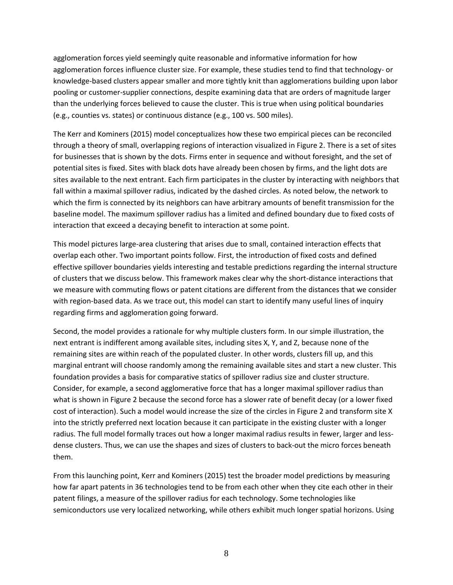agglomeration forces yield seemingly quite reasonable and informative information for how agglomeration forces influence cluster size. For example, these studies tend to find that technology- or knowledge-based clusters appear smaller and more tightly knit than agglomerations building upon labor pooling or customer-supplier connections, despite examining data that are orders of magnitude larger than the underlying forces believed to cause the cluster. This is true when using political boundaries (e.g., counties vs. states) or continuous distance (e.g., 100 vs. 500 miles).

The Kerr and Kominers (2015) model conceptualizes how these two empirical pieces can be reconciled through a theory of small, overlapping regions of interaction visualized in Figure 2. There is a set of sites for businesses that is shown by the dots. Firms enter in sequence and without foresight, and the set of potential sites is fixed. Sites with black dots have already been chosen by firms, and the light dots are sites available to the next entrant. Each firm participates in the cluster by interacting with neighbors that fall within a maximal spillover radius, indicated by the dashed circles. As noted below, the network to which the firm is connected by its neighbors can have arbitrary amounts of benefit transmission for the baseline model. The maximum spillover radius has a limited and defined boundary due to fixed costs of interaction that exceed a decaying benefit to interaction at some point.

This model pictures large-area clustering that arises due to small, contained interaction effects that overlap each other. Two important points follow. First, the introduction of fixed costs and defined effective spillover boundaries yields interesting and testable predictions regarding the internal structure of clusters that we discuss below. This framework makes clear why the short-distance interactions that we measure with commuting flows or patent citations are different from the distances that we consider with region-based data. As we trace out, this model can start to identify many useful lines of inquiry regarding firms and agglomeration going forward.

Second, the model provides a rationale for why multiple clusters form. In our simple illustration, the next entrant is indifferent among available sites, including sites X, Y, and Z, because none of the remaining sites are within reach of the populated cluster. In other words, clusters fill up, and this marginal entrant will choose randomly among the remaining available sites and start a new cluster. This foundation provides a basis for comparative statics of spillover radius size and cluster structure. Consider, for example, a second agglomerative force that has a longer maximal spillover radius than what is shown in Figure 2 because the second force has a slower rate of benefit decay (or a lower fixed cost of interaction). Such a model would increase the size of the circles in Figure 2 and transform site X into the strictly preferred next location because it can participate in the existing cluster with a longer radius. The full model formally traces out how a longer maximal radius results in fewer, larger and lessdense clusters. Thus, we can use the shapes and sizes of clusters to back-out the micro forces beneath them.

From this launching point, Kerr and Kominers (2015) test the broader model predictions by measuring how far apart patents in 36 technologies tend to be from each other when they cite each other in their patent filings, a measure of the spillover radius for each technology. Some technologies like semiconductors use very localized networking, while others exhibit much longer spatial horizons. Using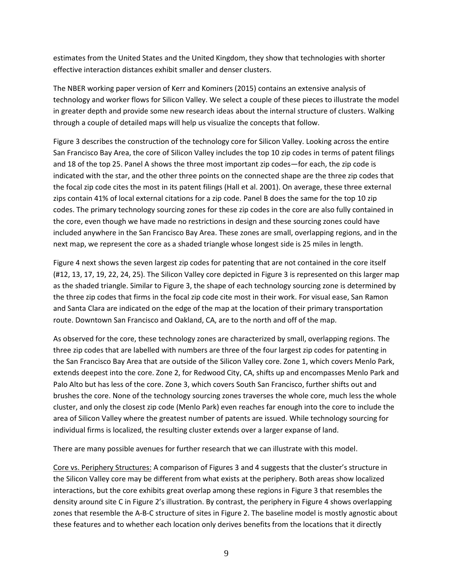estimates from the United States and the United Kingdom, they show that technologies with shorter effective interaction distances exhibit smaller and denser clusters.

The NBER working paper version of Kerr and Kominers (2015) contains an extensive analysis of technology and worker flows for Silicon Valley. We select a couple of these pieces to illustrate the model in greater depth and provide some new research ideas about the internal structure of clusters. Walking through a couple of detailed maps will help us visualize the concepts that follow.

Figure 3 describes the construction of the technology core for Silicon Valley. Looking across the entire San Francisco Bay Area, the core of Silicon Valley includes the top 10 zip codes in terms of patent filings and 18 of the top 25. Panel A shows the three most important zip codes—for each, the zip code is indicated with the star, and the other three points on the connected shape are the three zip codes that the focal zip code cites the most in its patent filings (Hall et al. 2001). On average, these three external zips contain 41% of local external citations for a zip code. Panel B does the same for the top 10 zip codes. The primary technology sourcing zones for these zip codes in the core are also fully contained in the core, even though we have made no restrictions in design and these sourcing zones could have included anywhere in the San Francisco Bay Area. These zones are small, overlapping regions, and in the next map, we represent the core as a shaded triangle whose longest side is 25 miles in length.

Figure 4 next shows the seven largest zip codes for patenting that are not contained in the core itself (#12, 13, 17, 19, 22, 24, 25). The Silicon Valley core depicted in Figure 3 is represented on this larger map as the shaded triangle. Similar to Figure 3, the shape of each technology sourcing zone is determined by the three zip codes that firms in the focal zip code cite most in their work. For visual ease, San Ramon and Santa Clara are indicated on the edge of the map at the location of their primary transportation route. Downtown San Francisco and Oakland, CA, are to the north and off of the map.

As observed for the core, these technology zones are characterized by small, overlapping regions. The three zip codes that are labelled with numbers are three of the four largest zip codes for patenting in the San Francisco Bay Area that are outside of the Silicon Valley core. Zone 1, which covers Menlo Park, extends deepest into the core. Zone 2, for Redwood City, CA, shifts up and encompasses Menlo Park and Palo Alto but has less of the core. Zone 3, which covers South San Francisco, further shifts out and brushes the core. None of the technology sourcing zones traverses the whole core, much less the whole cluster, and only the closest zip code (Menlo Park) even reaches far enough into the core to include the area of Silicon Valley where the greatest number of patents are issued. While technology sourcing for individual firms is localized, the resulting cluster extends over a larger expanse of land.

There are many possible avenues for further research that we can illustrate with this model.

Core vs. Periphery Structures: A comparison of Figures 3 and 4 suggests that the cluster's structure in the Silicon Valley core may be different from what exists at the periphery. Both areas show localized interactions, but the core exhibits great overlap among these regions in Figure 3 that resembles the density around site C in Figure 2's illustration. By contrast, the periphery in Figure 4 shows overlapping zones that resemble the A-B-C structure of sites in Figure 2. The baseline model is mostly agnostic about these features and to whether each location only derives benefits from the locations that it directly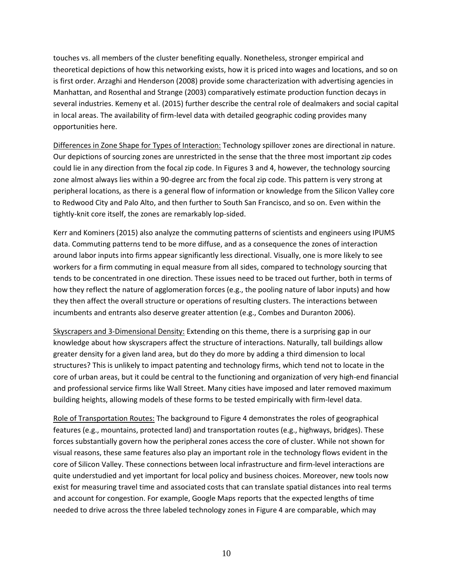touches vs. all members of the cluster benefiting equally. Nonetheless, stronger empirical and theoretical depictions of how this networking exists, how it is priced into wages and locations, and so on is first order. Arzaghi and Henderson (2008) provide some characterization with advertising agencies in Manhattan, and Rosenthal and Strange (2003) comparatively estimate production function decays in several industries. Kemeny et al. (2015) further describe the central role of dealmakers and social capital in local areas. The availability of firm-level data with detailed geographic coding provides many opportunities here.

Differences in Zone Shape for Types of Interaction: Technology spillover zones are directional in nature. Our depictions of sourcing zones are unrestricted in the sense that the three most important zip codes could lie in any direction from the focal zip code. In Figures 3 and 4, however, the technology sourcing zone almost always lies within a 90-degree arc from the focal zip code. This pattern is very strong at peripheral locations, as there is a general flow of information or knowledge from the Silicon Valley core to Redwood City and Palo Alto, and then further to South San Francisco, and so on. Even within the tightly-knit core itself, the zones are remarkably lop-sided.

Kerr and Kominers (2015) also analyze the commuting patterns of scientists and engineers using IPUMS data. Commuting patterns tend to be more diffuse, and as a consequence the zones of interaction around labor inputs into firms appear significantly less directional. Visually, one is more likely to see workers for a firm commuting in equal measure from all sides, compared to technology sourcing that tends to be concentrated in one direction. These issues need to be traced out further, both in terms of how they reflect the nature of agglomeration forces (e.g., the pooling nature of labor inputs) and how they then affect the overall structure or operations of resulting clusters. The interactions between incumbents and entrants also deserve greater attention (e.g., Combes and Duranton 2006).

Skyscrapers and 3-Dimensional Density: Extending on this theme, there is a surprising gap in our knowledge about how skyscrapers affect the structure of interactions. Naturally, tall buildings allow greater density for a given land area, but do they do more by adding a third dimension to local structures? This is unlikely to impact patenting and technology firms, which tend not to locate in the core of urban areas, but it could be central to the functioning and organization of very high-end financial and professional service firms like Wall Street. Many cities have imposed and later removed maximum building heights, allowing models of these forms to be tested empirically with firm-level data.

Role of Transportation Routes: The background to Figure 4 demonstrates the roles of geographical features (e.g., mountains, protected land) and transportation routes (e.g., highways, bridges). These forces substantially govern how the peripheral zones access the core of cluster. While not shown for visual reasons, these same features also play an important role in the technology flows evident in the core of Silicon Valley. These connections between local infrastructure and firm-level interactions are quite understudied and yet important for local policy and business choices. Moreover, new tools now exist for measuring travel time and associated costs that can translate spatial distances into real terms and account for congestion. For example, Google Maps reports that the expected lengths of time needed to drive across the three labeled technology zones in Figure 4 are comparable, which may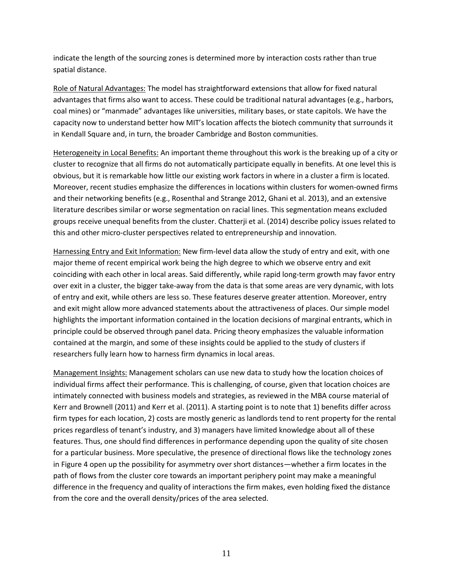indicate the length of the sourcing zones is determined more by interaction costs rather than true spatial distance.

Role of Natural Advantages: The model has straightforward extensions that allow for fixed natural advantages that firms also want to access. These could be traditional natural advantages (e.g., harbors, coal mines) or "manmade" advantages like universities, military bases, or state capitols. We have the capacity now to understand better how MIT's location affects the biotech community that surrounds it in Kendall Square and, in turn, the broader Cambridge and Boston communities.

Heterogeneity in Local Benefits: An important theme throughout this work is the breaking up of a city or cluster to recognize that all firms do not automatically participate equally in benefits. At one level this is obvious, but it is remarkable how little our existing work factors in where in a cluster a firm is located. Moreover, recent studies emphasize the differences in locations within clusters for women-owned firms and their networking benefits (e.g., Rosenthal and Strange 2012, Ghani et al. 2013), and an extensive literature describes similar or worse segmentation on racial lines. This segmentation means excluded groups receive unequal benefits from the cluster. Chatterji et al. (2014) describe policy issues related to this and other micro-cluster perspectives related to entrepreneurship and innovation.

Harnessing Entry and Exit Information: New firm-level data allow the study of entry and exit, with one major theme of recent empirical work being the high degree to which we observe entry and exit coinciding with each other in local areas. Said differently, while rapid long-term growth may favor entry over exit in a cluster, the bigger take-away from the data is that some areas are very dynamic, with lots of entry and exit, while others are less so. These features deserve greater attention. Moreover, entry and exit might allow more advanced statements about the attractiveness of places. Our simple model highlights the important information contained in the location decisions of marginal entrants, which in principle could be observed through panel data. Pricing theory emphasizes the valuable information contained at the margin, and some of these insights could be applied to the study of clusters if researchers fully learn how to harness firm dynamics in local areas.

Management Insights: Management scholars can use new data to study how the location choices of individual firms affect their performance. This is challenging, of course, given that location choices are intimately connected with business models and strategies, as reviewed in the MBA course material of Kerr and Brownell (2011) and Kerr et al. (2011). A starting point is to note that 1) benefits differ across firm types for each location, 2) costs are mostly generic as landlords tend to rent property for the rental prices regardless of tenant's industry, and 3) managers have limited knowledge about all of these features. Thus, one should find differences in performance depending upon the quality of site chosen for a particular business. More speculative, the presence of directional flows like the technology zones in Figure 4 open up the possibility for asymmetry over short distances—whether a firm locates in the path of flows from the cluster core towards an important periphery point may make a meaningful difference in the frequency and quality of interactions the firm makes, even holding fixed the distance from the core and the overall density/prices of the area selected.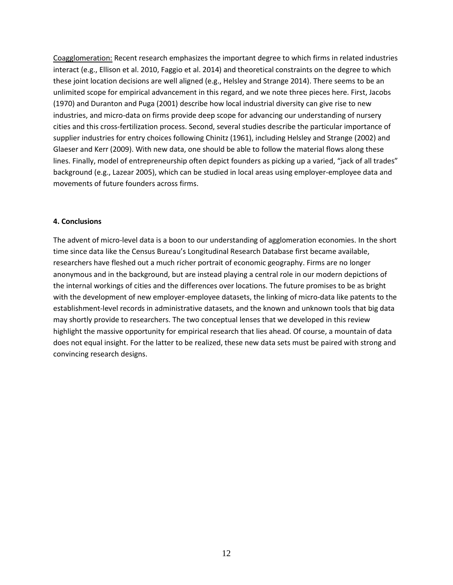Coagglomeration: Recent research emphasizes the important degree to which firms in related industries interact (e.g., Ellison et al. 2010, Faggio et al. 2014) and theoretical constraints on the degree to which these joint location decisions are well aligned (e.g., Helsley and Strange 2014). There seems to be an unlimited scope for empirical advancement in this regard, and we note three pieces here. First, Jacobs (1970) and Duranton and Puga (2001) describe how local industrial diversity can give rise to new industries, and micro-data on firms provide deep scope for advancing our understanding of nursery cities and this cross-fertilization process. Second, several studies describe the particular importance of supplier industries for entry choices following Chinitz (1961), including Helsley and Strange (2002) and Glaeser and Kerr (2009). With new data, one should be able to follow the material flows along these lines. Finally, model of entrepreneurship often depict founders as picking up a varied, "jack of all trades" background (e.g., Lazear 2005), which can be studied in local areas using employer-employee data and movements of future founders across firms.

### **4. Conclusions**

The advent of micro-level data is a boon to our understanding of agglomeration economies. In the short time since data like the Census Bureau's Longitudinal Research Database first became available, researchers have fleshed out a much richer portrait of economic geography. Firms are no longer anonymous and in the background, but are instead playing a central role in our modern depictions of the internal workings of cities and the differences over locations. The future promises to be as bright with the development of new employer-employee datasets, the linking of micro-data like patents to the establishment-level records in administrative datasets, and the known and unknown tools that big data may shortly provide to researchers. The two conceptual lenses that we developed in this review highlight the massive opportunity for empirical research that lies ahead. Of course, a mountain of data does not equal insight. For the latter to be realized, these new data sets must be paired with strong and convincing research designs.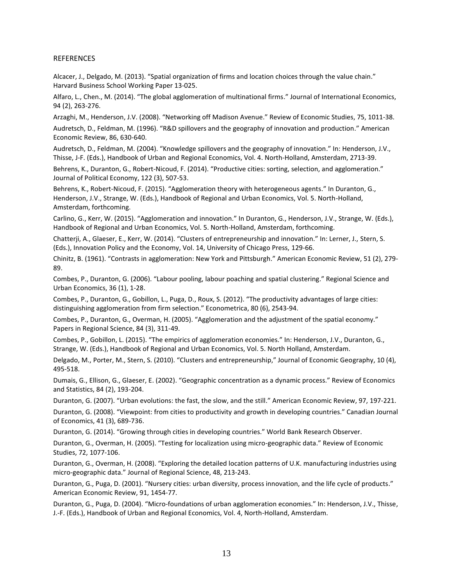#### REFERENCES

Alcacer, J., Delgado, M. (2013). "Spatial organization of firms and location choices through the value chain." Harvard Business School Working Paper 13-025.

Alfaro, L., Chen., M. (2014). "The global agglomeration of multinational firms." Journal of International Economics, 94 (2), 263-276.

Arzaghi, M., Henderson, J.V. (2008). "Networking off Madison Avenue." Review of Economic Studies, 75, 1011-38.

Audretsch, D., Feldman, M. (1996). "R&D spillovers and the geography of innovation and production." American Economic Review, 86, 630-640.

Audretsch, D., Feldman, M. (2004). "Knowledge spillovers and the geography of innovation." In: Henderson, J.V., Thisse, J-F. (Eds.), Handbook of Urban and Regional Economics, Vol. 4. North-Holland, Amsterdam, 2713-39.

Behrens, K., Duranton, G., Robert-Nicoud, F. (2014). "Productive cities: sorting, selection, and agglomeration." Journal of Political Economy, 122 (3), 507-53.

Behrens, K., Robert-Nicoud, F. (2015). "Agglomeration theory with heterogeneous agents." In Duranton, G., Henderson, J.V., Strange, W. (Eds.), Handbook of Regional and Urban Economics, Vol. 5. North-Holland, Amsterdam, forthcoming.

Carlino, G., Kerr, W. (2015). "Agglomeration and innovation." In Duranton, G., Henderson, J.V., Strange, W. (Eds.), Handbook of Regional and Urban Economics, Vol. 5. North-Holland, Amsterdam, forthcoming.

Chatterji, A., Glaeser, E., Kerr, W. (2014). "Clusters of entrepreneurship and innovation." In: Lerner, J., Stern, S. (Eds.), Innovation Policy and the Economy, Vol. 14, University of Chicago Press, 129-66.

Chinitz, B. (1961). "Contrasts in agglomeration: New York and Pittsburgh." American Economic Review, 51 (2), 279- 89.

Combes, P., Duranton, G. (2006). "Labour pooling, labour poaching and spatial clustering." Regional Science and Urban Economics, 36 (1), 1-28.

Combes, P., Duranton, G., Gobillon, L., Puga, D., Roux, S. (2012). "The productivity advantages of large cities: distinguishing agglomeration from firm selection." Econometrica, 80 (6), 2543-94.

Combes, P., Duranton, G., Overman, H. (2005). "Agglomeration and the adjustment of the spatial economy." Papers in Regional Science, 84 (3), 311-49.

Combes, P., Gobillon, L. (2015). "The empirics of agglomeration economies." In: Henderson, J.V., Duranton, G., Strange, W. (Eds.), Handbook of Regional and Urban Economics, Vol. 5. North Holland, Amsterdam.

Delgado, M., Porter, M., Stern, S. (2010). "Clusters and entrepreneurship," Journal of Economic Geography, 10 (4), 495-518.

Dumais, G., Ellison, G., Glaeser, E. (2002). "Geographic concentration as a dynamic process." Review of Economics and Statistics, 84 (2), 193-204.

Duranton, G. (2007). "Urban evolutions: the fast, the slow, and the still." American Economic Review, 97, 197-221.

Duranton, G. (2008). "Viewpoint: from cities to productivity and growth in developing countries." Canadian Journal of Economics, 41 (3), 689-736.

Duranton, G. (2014). "Growing through cities in developing countries." World Bank Research Observer.

Duranton, G., Overman, H. (2005). "Testing for localization using micro-geographic data." Review of Economic Studies, 72, 1077-106.

Duranton, G., Overman, H. (2008). "Exploring the detailed location patterns of U.K. manufacturing industries using micro-geographic data." Journal of Regional Science, 48, 213-243.

Duranton, G., Puga, D. (2001). "Nursery cities: urban diversity, process innovation, and the life cycle of products." American Economic Review, 91, 1454-77.

Duranton, G., Puga, D. (2004). "Micro-foundations of urban agglomeration economies." In: Henderson, J.V., Thisse, J.-F. (Eds.), Handbook of Urban and Regional Economics, Vol. 4, North-Holland, Amsterdam.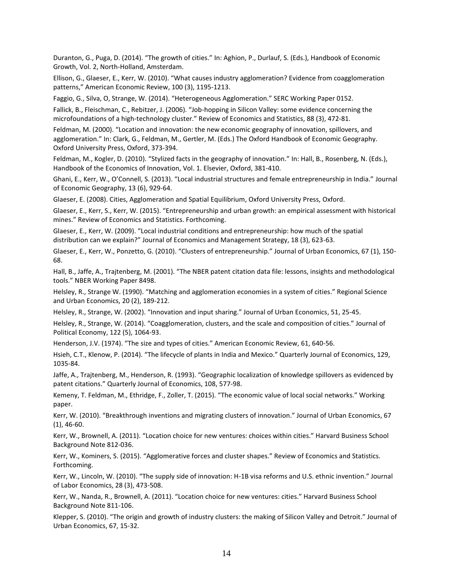Duranton, G., Puga, D. (2014). "The growth of cities." In: Aghion, P., Durlauf, S. (Eds.), Handbook of Economic Growth, Vol. 2, North-Holland, Amsterdam.

Ellison, G., Glaeser, E., Kerr, W. (2010). "What causes industry agglomeration? Evidence from coagglomeration patterns," American Economic Review, 100 (3), 1195-1213.

Faggio, G., Silva, O, Strange, W. (2014). "Heterogeneous Agglomeration." SERC Working Paper 0152.

Fallick, B., Fleischman, C., Rebitzer, J. (2006). "Job-hopping in Silicon Valley: some evidence concerning the microfoundations of a high-technology cluster." Review of Economics and Statistics, 88 (3), 472-81.

Feldman, M. (2000). "Location and innovation: the new economic geography of innovation, spillovers, and agglomeration." In: Clark, G., Feldman, M., Gertler, M. (Eds.) The Oxford Handbook of Economic Geography. Oxford University Press, Oxford, 373-394.

Feldman, M., Kogler, D. (2010). "Stylized facts in the geography of innovation." In: Hall, B., Rosenberg, N. (Eds.), Handbook of the Economics of Innovation, Vol. 1. Elsevier, Oxford, 381-410.

Ghani, E., Kerr, W., O'Connell, S. (2013). "Local industrial structures and female entrepreneurship in India." Journal of Economic Geography, 13 (6), 929-64.

Glaeser, E. (2008). Cities, Agglomeration and Spatial Equilibrium, Oxford University Press, Oxford.

Glaeser, E., Kerr, S., Kerr, W. (2015). "Entrepreneurship and urban growth: an empirical assessment with historical mines." Review of Economics and Statistics. Forthcoming.

Glaeser, E., Kerr, W. (2009). "Local industrial conditions and entrepreneurship: how much of the spatial distribution can we explain?" Journal of Economics and Management Strategy, 18 (3), 623-63.

Glaeser, E., Kerr, W., Ponzetto, G. (2010). "Clusters of entrepreneurship." Journal of Urban Economics, 67 (1), 150- 68.

Hall, B., Jaffe, A., Trajtenberg, M. (2001). "The NBER patent citation data file: lessons, insights and methodological tools." NBER Working Paper 8498.

Helsley, R., Strange W. (1990). "Matching and agglomeration economies in a system of cities." Regional Science and Urban Economics, 20 (2), 189-212.

Helsley, R., Strange, W. (2002). "Innovation and input sharing." Journal of Urban Economics, 51, 25-45.

Helsley, R., Strange, W. (2014). "Coagglomeration, clusters, and the scale and composition of cities." Journal of Political Economy, 122 (5), 1064-93.

Henderson, J.V. (1974). "The size and types of cities." American Economic Review, 61, 640-56.

Hsieh, C.T., Klenow, P. (2014). "The lifecycle of plants in India and Mexico." Quarterly Journal of Economics, 129, 1035-84.

Jaffe, A., Trajtenberg, M., Henderson, R. (1993). "Geographic localization of knowledge spillovers as evidenced by patent citations." Quarterly Journal of Economics, 108, 577-98.

Kemeny, T. Feldman, M., Ethridge, F., Zoller, T. (2015). "The economic value of local social networks." Working paper.

Kerr, W. (2010). "Breakthrough inventions and migrating clusters of innovation." Journal of Urban Economics, 67 (1), 46-60.

Kerr, W., Brownell, A. (2011). "Location choice for new ventures: choices within cities." Harvard Business School Background Note 812-036.

Kerr, W., Kominers, S. (2015). "Agglomerative forces and cluster shapes." Review of Economics and Statistics. Forthcoming.

Kerr, W., Lincoln, W. (2010). "The supply side of innovation: H-1B visa reforms and U.S. ethnic invention." Journal of Labor Economics, 28 (3), 473-508.

Kerr, W., Nanda, R., Brownell, A. (2011). "Location choice for new ventures: cities." Harvard Business School Background Note 811-106.

Klepper, S. (2010). "The origin and growth of industry clusters: the making of Silicon Valley and Detroit." Journal of Urban Economics, 67, 15-32.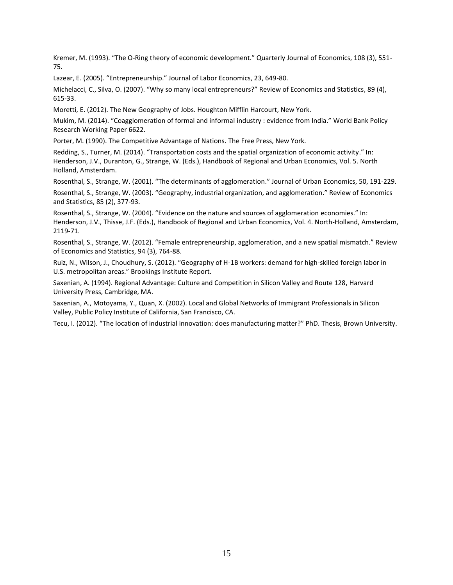Kremer, M. (1993). "The O-Ring theory of economic development." Quarterly Journal of Economics, 108 (3), 551- 75.

Lazear, E. (2005). "Entrepreneurship." Journal of Labor Economics, 23, 649-80.

Michelacci, C., Silva, O. (2007). "Why so many local entrepreneurs?" Review of Economics and Statistics, 89 (4), 615-33.

Moretti, E. (2012). The New Geography of Jobs. Houghton Mifflin Harcourt, New York.

Mukim, M. (2014). "Coagglomeration of formal and informal industry : evidence from India." World Bank Policy Research Working Paper 6622.

Porter, M. (1990). The Competitive Advantage of Nations. The Free Press, New York.

Redding, S., Turner, M. (2014). "Transportation costs and the spatial organization of economic activity." In: Henderson, J.V., Duranton, G., Strange, W. (Eds.), Handbook of Regional and Urban Economics, Vol. 5. North Holland, Amsterdam.

Rosenthal, S., Strange, W. (2001). "The determinants of agglomeration." Journal of Urban Economics, 50, 191-229.

Rosenthal, S., Strange, W. (2003). "Geography, industrial organization, and agglomeration." Review of Economics and Statistics, 85 (2), 377-93.

Rosenthal, S., Strange, W. (2004). "Evidence on the nature and sources of agglomeration economies." In: Henderson, J.V., Thisse, J.F. (Eds.), Handbook of Regional and Urban Economics, Vol. 4. North-Holland, Amsterdam, 2119-71.

Rosenthal, S., Strange, W. (2012). "Female entrepreneurship, agglomeration, and a new spatial mismatch." Review of Economics and Statistics, 94 (3), 764-88.

Ruiz, N., Wilson, J., Choudhury, S. (2012). "Geography of H-1B workers: demand for high-skilled foreign labor in U.S. metropolitan areas." Brookings Institute Report.

Saxenian, A. (1994). Regional Advantage: Culture and Competition in Silicon Valley and Route 128, Harvard University Press, Cambridge, MA.

Saxenian, A., Motoyama, Y., Quan, X. (2002). Local and Global Networks of Immigrant Professionals in Silicon Valley, Public Policy Institute of California, San Francisco, CA.

Tecu, I. (2012). "The location of industrial innovation: does manufacturing matter?" PhD. Thesis, Brown University.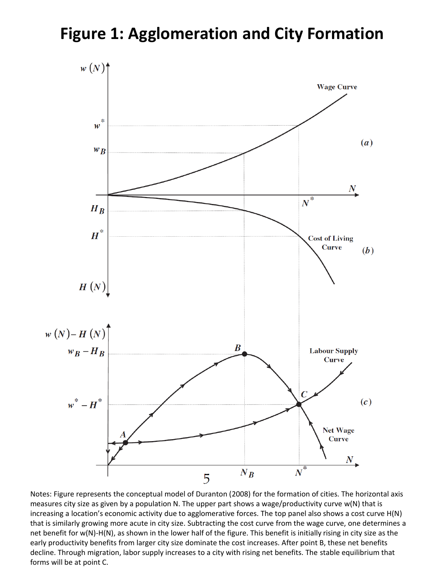## **Figure 1: Agglomeration and City Formation**



Notes: Figure represents the conceptual model of Duranton (2008) for the formation of cities. The horizontal axis measures city size as given by a population N. The upper part shows a wage/productivity curve w(N) that is increasing a location's economic activity due to agglomerative forces. The top panel also shows a cost curve H(N) that is similarly growing more acute in city size. Subtracting the cost curve from the wage curve, one determines a net benefit for w(N)-H(N), as shown in the lower half of the figure. This benefit is initially rising in city size as the early productivity benefits from larger city size dominate the cost increases. After point B, these net benefits decline. Through migration, labor supply increases to a city with rising net benefits. The stable equilibrium that forms will be at point C.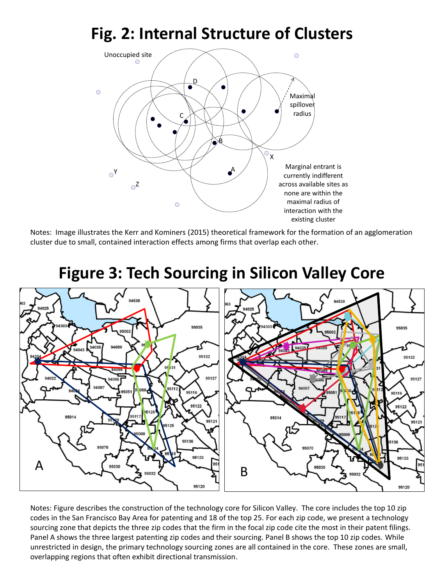# **Fig. 2: Internal Structure of Clusters**



Notes: Image illustrates the Kerr and Kominers (2015) theoretical framework for the formation of an agglomeration cluster due to small, contained interaction effects among firms that overlap each other.

### 95035 95035 94089 95132 95132 95127 95127 9511 9511 95122 95014

# **Figure 3: Tech Sourcing in Silicon Valley Core**

Notes: Figure describes the construction of the technology core for Silicon Valley. The core includes the top 10 zip codes in the San Francisco Bay Area for patenting and 18 of the top 25. For each zip code, we present a technology sourcing zone that depicts the three zip codes that the firm in the focal zip code cite the most in their patent filings. Panel A shows the three largest patenting zip codes and their sourcing. Panel B shows the top 10 zip codes. While unrestricted in design, the primary technology sourcing zones are all contained in the core. These zones are small, overlapping regions that often exhibit directional transmission.

 $5125$ 

95136

95123

95120

B

9512

95123

95120

A